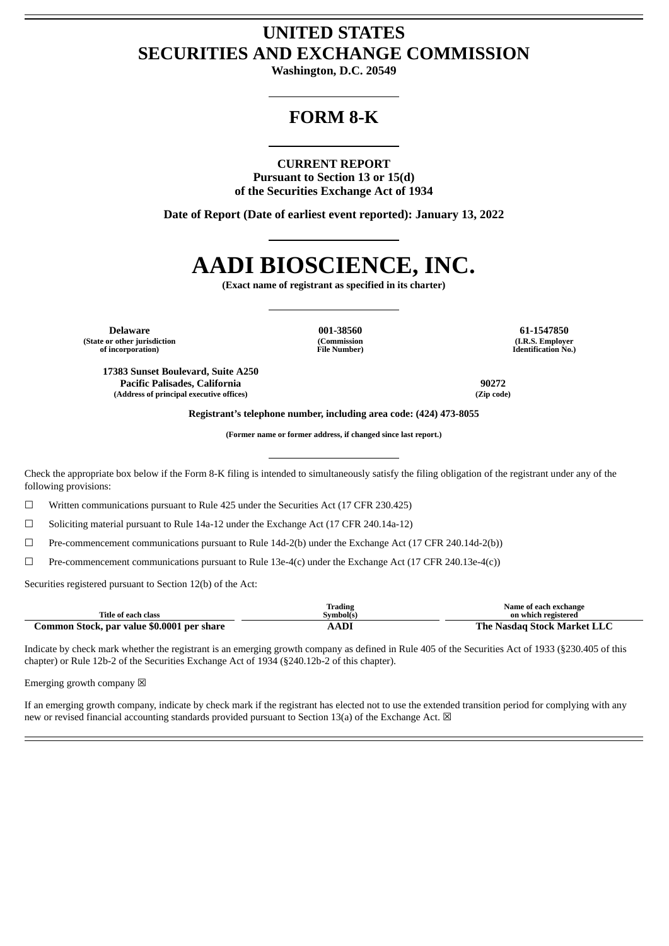## **UNITED STATES SECURITIES AND EXCHANGE COMMISSION**

**Washington, D.C. 20549**

## **FORM 8-K**

### **CURRENT REPORT**

**Pursuant to Section 13 or 15(d) of the Securities Exchange Act of 1934**

**Date of Report (Date of earliest event reported): January 13, 2022**

# **AADI BIOSCIENCE, INC.**

**(Exact name of registrant as specified in its charter)**

**Delaware 001-38560 61-1547850 (State or other jurisdiction of incorporation)**

**(Commission File Number)**

**(I.R.S. Employer Identification No.)**

**17383 Sunset Boulevard, Suite A250 Pacific Palisades, California 90272 (Address of principal executive offices) (Zip code)**

**Registrant's telephone number, including area code: (424) 473-8055**

**(Former name or former address, if changed since last report.)**

Check the appropriate box below if the Form 8-K filing is intended to simultaneously satisfy the filing obligation of the registrant under any of the following provisions:

☐ Written communications pursuant to Rule 425 under the Securities Act (17 CFR 230.425)

 $\Box$  Soliciting material pursuant to Rule 14a-12 under the Exchange Act (17 CFR 240.14a-12)

☐ Pre-commencement communications pursuant to Rule 14d-2(b) under the Exchange Act (17 CFR 240.14d-2(b))

 $\Box$  Pre-commencement communications pursuant to Rule 13e-4(c) under the Exchange Act (17 CFR 240.13e-4(c))

Securities registered pursuant to Section 12(b) of the Act:

| Title of each class                        | Trading<br>Symbol(s) | Name of each exchange<br>on which registered |
|--------------------------------------------|----------------------|----------------------------------------------|
| Common Stock, par value \$0.0001 per share | AADI                 | The Nasdag Stock Market LLC                  |

Indicate by check mark whether the registrant is an emerging growth company as defined in Rule 405 of the Securities Act of 1933 (§230.405 of this chapter) or Rule 12b-2 of the Securities Exchange Act of 1934 (§240.12b-2 of this chapter).

Emerging growth company  $\boxtimes$ 

If an emerging growth company, indicate by check mark if the registrant has elected not to use the extended transition period for complying with any new or revised financial accounting standards provided pursuant to Section 13(a) of the Exchange Act.  $\boxtimes$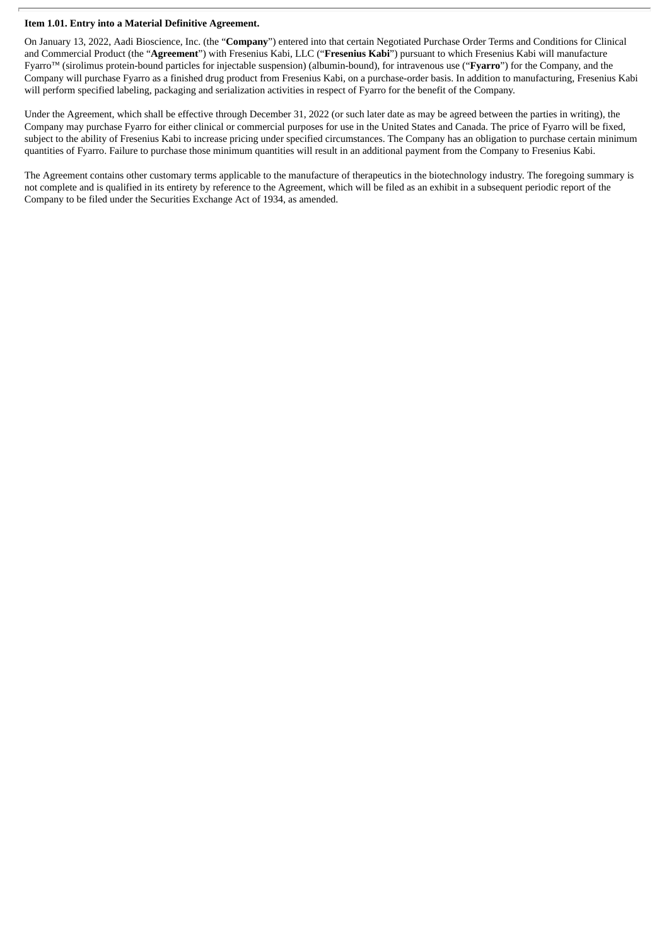#### **Item 1.01. Entry into a Material Definitive Agreement.**

On January 13, 2022, Aadi Bioscience, Inc. (the "**Company**") entered into that certain Negotiated Purchase Order Terms and Conditions for Clinical and Commercial Product (the "**Agreement**") with Fresenius Kabi, LLC ("**Fresenius Kabi**") pursuant to which Fresenius Kabi will manufacture Fyarro™ (sirolimus protein-bound particles for injectable suspension) (albumin-bound), for intravenous use ("**Fyarro**") for the Company, and the Company will purchase Fyarro as a finished drug product from Fresenius Kabi, on a purchase-order basis. In addition to manufacturing, Fresenius Kabi will perform specified labeling, packaging and serialization activities in respect of Fyarro for the benefit of the Company.

Under the Agreement, which shall be effective through December 31, 2022 (or such later date as may be agreed between the parties in writing), the Company may purchase Fyarro for either clinical or commercial purposes for use in the United States and Canada. The price of Fyarro will be fixed, subject to the ability of Fresenius Kabi to increase pricing under specified circumstances. The Company has an obligation to purchase certain minimum quantities of Fyarro. Failure to purchase those minimum quantities will result in an additional payment from the Company to Fresenius Kabi.

The Agreement contains other customary terms applicable to the manufacture of therapeutics in the biotechnology industry. The foregoing summary is not complete and is qualified in its entirety by reference to the Agreement, which will be filed as an exhibit in a subsequent periodic report of the Company to be filed under the Securities Exchange Act of 1934, as amended.